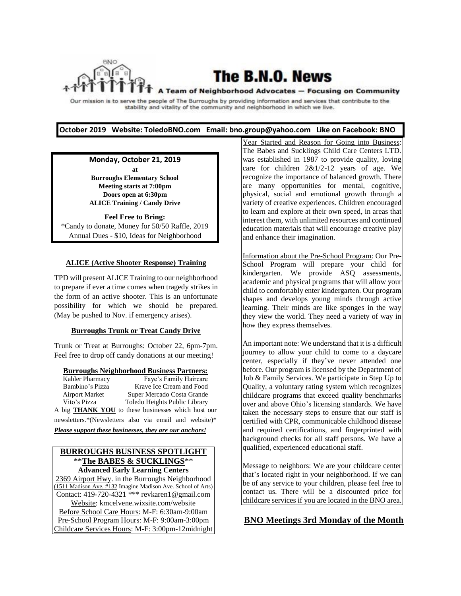

# The B.N.O. News

#### A Team of Neighborhood Advocates - Focusing on Community

Our mission is to serve the people of The Burroughs by providing information and services that contribute to the stability and vitality of the community and neighborhood in which we live.

#### **October 2019 Website: ToledoBNO.com Email: bno.group@yahoo.com Like on Facebook: BNO**

**Monday, October 21, 2019 at Burroughs Elementary School Meeting starts at 7:00pm Doors open at 6:30pm ALICE Training / Candy Drive**

**Feel Free to Bring:**  \*Candy to donate, Money for 50/50 Raffle, 2019 Annual Dues - \$10, Ideas for Neighborhood

#### **ALICE (Active Shooter Response) Training**

TPD will present ALICE Training to our neighborhood to prepare if ever a time comes when tragedy strikes in the form of an active shooter. This is an unfortunate possibility for which we should be prepared. (May be pushed to Nov. if emergency arises).

#### **Burroughs Trunk or Treat Candy Drive**

Trunk or Treat at Burroughs: October 22, 6pm-7pm. Feel free to drop off candy donations at our meeting!

**Burroughs Neighborhood Business Partners:** Kahler Pharmacy Faye's Family Haircare Bambino's Pizza Krave Ice Cream and Food Airport Market Super Mercado Costa Grande Vito's Pizza Toledo Heights Public Library A big **THANK YOU** to these businesses which host our newsletters.\*(Newsletters also via email and website)\* *Please support these businesses, they are our anchors!*

### **BURROUGHS BUSINESS SPOTLIGHT** \*\***The BABES & SUCKLINGS**\*\*

**Advanced Early Learning Centers** 2369 Airport Hwy. in the Burroughs Neighborhood (1511 Madison Ave. #132 Imagine Madison Ave. School of Arts) Contact: 419-720-4321 \*\*\* revkaren1@gmail.com Website: kmcelvene.wixsite.com/website Before School Care Hours: M-F: 6:30am-9:00am Pre-School Program Hours: M-F: 9:00am-3:00pm Childcare Services Hours: M-F: 3:00pm-12midnight Year Started and Reason for Going into Business: The Babes and Sucklings Child Care Centers LTD. was established in 1987 to provide quality, loving care for children  $2&1/2-12$  years of age. We recognize the importance of balanced growth. There are many opportunities for mental, cognitive, physical, social and emotional growth through a variety of creative experiences. Children encouraged to learn and explore at their own speed, in areas that interest them, with unlimited resources and continued education materials that will encourage creative play and enhance their imagination.

Information about the Pre-School Program: Our Pre-School Program will prepare your child for kindergarten. We provide ASQ assessments, academic and physical programs that will allow your child to comfortably enter kindergarten. Our program shapes and develops young minds through active learning. Their minds are like sponges in the way they view the world. They need a variety of way in how they express themselves.

An important note: We understand that it is a difficult journey to allow your child to come to a daycare center, especially if they've never attended one before. Our program is licensed by the Department of Job & Family Services. We participate in Step Up to Quality, a voluntary rating system which recognizes childcare programs that exceed quality benchmarks over and above Ohio's licensing standards. We have taken the necessary steps to ensure that our staff is certified with CPR, communicable childhood disease and required certifications, and fingerprinted with background checks for all staff persons. We have a qualified, experienced educational staff.

Message to neighbors: We are your childcare center that's located right in your neighborhood. If we can be of any service to your children, please feel free to contact us. There will be a discounted price for childcare services if you are located in the BNO area.

### **BNO Meetings 3rd Monday of the Month**